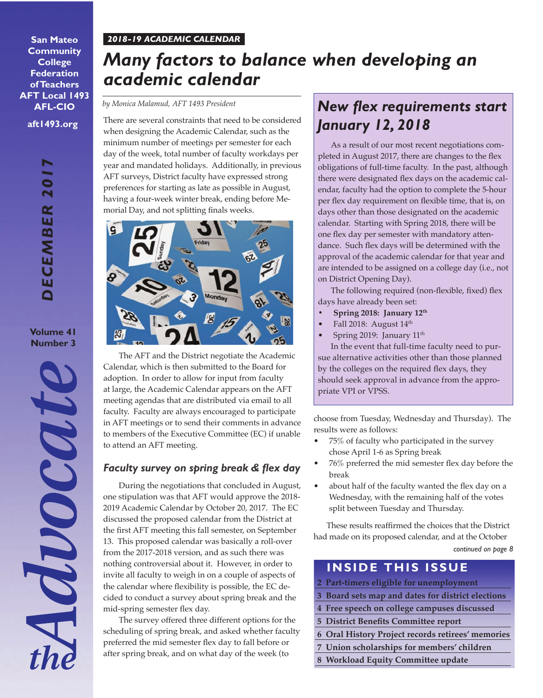#### *2018-19 ACADEMIC CALENDAR*

**aft1493.org San Mateo Community College Federation of Teachers AFT Local 1493 AFL-CIO**

> *DECEMBER 2017* DECEMBER

**Volume 41 Number 3**

**AQUOCAT** 

# *Many factors to balance when developing an academic calendar*

*by Monica Malamud, AFT 1493 President*

There are several constraints that need to be considered when designing the Academic Calendar, such as the minimum number of meetings per semester for each day of the week, total number of faculty workdays per year and mandated holidays. Additionally, in previous AFT surveys, District faculty have expressed strong preferences for starting as late as possible in August, having a four-week winter break, ending before Memorial Day, and not splitting finals weeks.



The AFT and the District negotiate the Academic Calendar, which is then submitted to the Board for adoption. In order to allow for input from faculty at large, the Academic Calendar appears on the AFT meeting agendas that are distributed via email to all faculty. Faculty are always encouraged to participate in AFT meetings or to send their comments in advance to members of the Executive Committee (EC) if unable to attend an AFT meeting.

### *Faculty survey on spring break & flex day*

During the negotiations that concluded in August, one stipulation was that AFT would approve the 2018- 2019 Academic Calendar by October 20, 2017. The EC discussed the proposed calendar from the District at the first AFT meeting this fall semester, on September 13. This proposed calendar was basically a roll-over from the 2017-2018 version, and as such there was nothing controversial about it. However, in order to invite all faculty to weigh in on a couple of aspects of the calendar where flexibility is possible, the EC decided to conduct a survey about spring break and the mid-spring semester flex day.

The survey offered three different options for the scheduling of spring break, and asked whether faculty preferred the mid semester flex day to fall before or after spring break, and on what day of the week (to

# *New flex requirements start January 12, 2018*

As a result of our most recent negotiations completed in August 2017, there are changes to the flex obligations of full-time faculty. In the past, although there were designated flex days on the academic calendar, faculty had the option to complete the 5-hour per flex day requirement on flexible time, that is, on days other than those designated on the academic calendar. Starting with Spring 2018, there will be one flex day per semester with mandatory attendance. Such flex days will be determined with the approval of the academic calendar for that year and are intended to be assigned on a college day (i.e., not on District Opening Day).

The following required (non-flexible, fixed) flex days have already been set:

- **• Spring 2018: January 12th**
- Fall 2018: August 14<sup>th</sup>
- Spring 2019: January 11<sup>th</sup>

In the event that full-time faculty need to pursue alternative activities other than those planned by the colleges on the required flex days, they should seek approval in advance from the appropriate VPI or VPSS.

choose from Tuesday, Wednesday and Thursday). The results were as follows:

- 75% of faculty who participated in the survey chose April 1-6 as Spring break
- 76% preferred the mid semester flex day before the break
- about half of the faculty wanted the flex day on a Wednesday, with the remaining half of the votes split between Tuesday and Thursday.

These results reaffirmed the choices that the District had made on its proposed calendar, and at the October

*continued on page 8*

## **INSIDE THIS ISSUE**

- **2 Part-timers eligible for unemployment**
- **3 Board sets map and dates for district elections**
- **4 Free speech on college campuses discussed**
- **5 District Benefits Committee report**
- **6 Oral History Project records retirees' memories**
- **7 Union scholarships for members' children**
- **8 Workload Equity Committee update**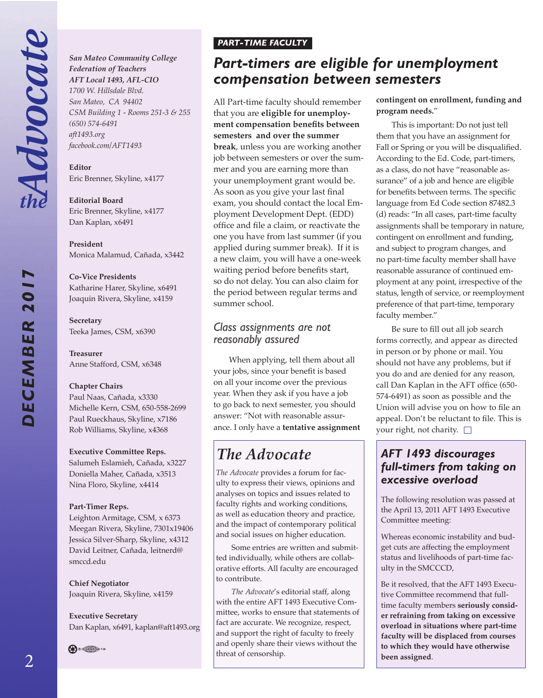Advocate

*DECEMBER 2017*

DECEMBER

**NO** 

#### *San Mateo Community College Federation of Teachers AFT Local 1493, AFL-CIO 1700 W. Hillsdale Blvd.*

*San Mateo, CA 94402 CSM Building 1 - Rooms 251-3 & 255 (650) 574-6491 aft1493.org facebook.com/AFT1493*

**Editor**  Eric Brenner, Skyline, x4177

**Editorial Board** Eric Brenner, Skyline, x4177 Dan Kaplan, x6491

**President**  Monica Malamud, Cañada, x3442

#### **Co-Vice Presidents**

Katharine Harer, Skyline, x6491 Joaquin Rivera, Skyline, x4159

**Secretary** Teeka James, CSM, x6390

**Treasurer** Anne Stafford, CSM, x6348

#### **Chapter Chairs**

Paul Naas, Cañada, x3330 Michelle Kern, CSM, 650-558-2699 Paul Rueckhaus, Skyline, x7186 Rob Williams, Skyline, x4368

#### **Executive Committee Reps.**

Salumeh Eslamieh, Cañada, x3227 Doniella Maher, Cañada, x3513 Nina Floro, Skyline, x4414

#### **Part-Timer Reps.**

Leighton Armitage, CSM, x 6373 Meegan Rivera, Skyline, 7301x19406 Jessica Silver-Sharp, Skyline, x4312 David Leitner, Cañada, leitnerd@ smccd.edu

**Chief Negotiator** Joaquin Rivera, Skyline, x4159

**Executive Secretary** Dan Kaplan, x6491, kaplan@aft1493.org

**B**  $\bigoplus$  146

## *PART-TIME FACULTY*

# *Part-timers are eligible for unemployment compensation between semesters*

All Part-time faculty should remember that you are **eligible for unemployment compensation benefits between semesters and over the summer break**, unless you are working another job between semesters or over the summer and you are earning more than your unemployment grant would be. As soon as you give your last final exam, you should contact the local Employment Development Dept. (EDD) office and file a claim, or reactivate the one you have from last summer (if you applied during summer break). If it is a new claim, you will have a one-week waiting period before benefits start, so do not delay. You can also claim for the period between regular terms and summer school.

## *Class assignments are not reasonably assured*

When applying, tell them about all your jobs, since your benefit is based on all your income over the previous year. When they ask if you have a job to go back to next semester, you should answer: "Not with reasonable assurance. I only have a **tentative assignment** 

# *The Advocate*

*The Advocate* provides a forum for faculty to express their views, opinions and analyses on topics and issues related to faculty rights and working conditions, as well as education theory and practice, and the impact of contemporary political and social issues on higher education.

Some entries are written and submitted individually, while others are collaborative efforts. All faculty are encouraged to contribute.

*The Advocate*'s editorial staff, along with the entire AFT 1493 Executive Committee, works to ensure that statements of fact are accurate. We recognize, respect, and support the right of faculty to freely and openly share their views without the threat of censorship.

**contingent on enrollment, funding and program needs.**"

This is important: Do not just tell them that you have an assignment for Fall or Spring or you will be disqualified. According to the Ed. Code, part-timers, as a class, do not have "reasonable assurance" of a job and hence are eligible for benefits between terms. The specific language from Ed Code section 87482.3 (d) reads: "In all cases, part-time faculty assignments shall be temporary in nature, contingent on enrollment and funding, and subject to program changes, and no part-time faculty member shall have reasonable assurance of continued employment at any point, irrespective of the status, length of service, or reemployment preference of that part-time, temporary faculty member."

Be sure to fill out all job search forms correctly, and appear as directed in person or by phone or mail. You should not have any problems, but if you do and are denied for any reason, call Dan Kaplan in the AFT office (650- 574-6491) as soon as possible and the Union will advise you on how to file an appeal. Don't be reluctant to file. This is your right, not charity.  $\Box$ 

## *AFT 1493 discourages full-timers from taking on excessive overload*

The following resolution was passed at the April 13, 2011 AFT 1493 Executive Committee meeting:

Whereas economic instability and budget cuts are affecting the employment status and livelihoods of part-time faculty in the SMCCCD,

Be it resolved, that the AFT 1493 Executive Committee recommend that fulltime faculty members **seriously consider refraining from taking on excessive overload in situations where part-time faculty will be displaced from courses to which they would have otherwise been assigned**.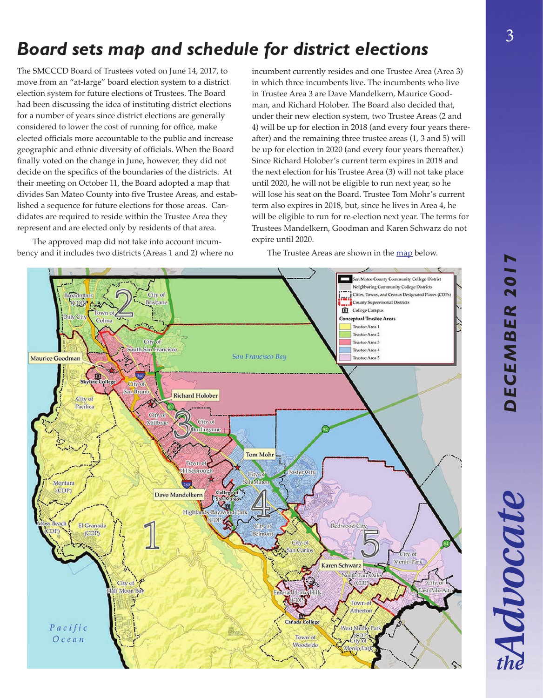# *DECEMBER 2017* DECEMBER 201

# *Board sets map and schedule for district elections*

The SMCCCD Board of Trustees voted on June 14, 2017, to move from an "at-large" board election system to a district election system for future elections of Trustees. The Board had been discussing the idea of instituting district elections for a number of years since district elections are generally considered to lower the cost of running for office, make elected officials more accountable to the public and increase geographic and ethnic diversity of officials. When the Board finally voted on the change in June, however, they did not decide on the specifics of the boundaries of the districts. At their meeting on October 11, the Board adopted a map that divides San Mateo County into five Trustee Areas, and established a sequence for future elections for those areas. Candidates are required to reside within the Trustee Area they represent and are elected only by residents of that area.

The approved map did not take into account incumbency and it includes two districts (Areas 1 and 2) where no

incumbent currently resides and one Trustee Area (Area 3) in which three incumbents live. The incumbents who live in Trustee Area 3 are Dave Mandelkern, Maurice Goodman, and Richard Holober. The Board also decided that, under their new election system, two Trustee Areas (2 and 4) will be up for election in 2018 (and every four years thereafter) and the remaining three trustee areas (1, 3 and 5) will be up for election in 2020 (and every four years thereafter.) Since Richard Holober's current term expires in 2018 and the next election for his Trustee Area (3) will not take place until 2020, he will not be eligible to run next year, so he will lose his seat on the Board. Trustee Tom Mohr's current term also expires in 2018, but, since he lives in Area 4, he will be eligible to run for re-election next year. The terms for Trustees Mandelkern, Goodman and Karen Schwarz do not expire until 2020.

The Trustee Areas are shown in the [map](https://smccd.edu/boardoftrustees/images/Scenario%204%20-%20New.pdf) below.

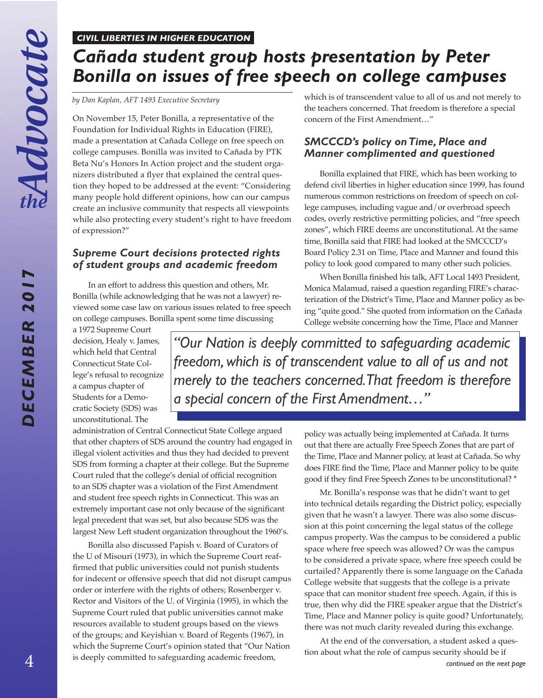*DECEMBER 2017*

DECEMBER 201

#### *CIVIL LIBERTIES IN HIGHER EDUCATION*

# *Cañada student group hosts presentation by Peter Bonilla on issues of free speech on college campuses*

*by Dan Kaplan, AFT 1493 Executive Secretary*

On November 15, Peter Bonilla, a representative of the Foundation for Individual Rights in Education (FIRE), made a presentation at Cañada College on free speech on college campuses. Bonilla was invited to Cañada by PTK Beta Nu's Honors In Action project and the student organizers distributed a flyer that explained the central question they hoped to be addressed at the event: "Considering many people hold different opinions, how can our campus create an inclusive community that respects all viewpoints while also protecting every student's right to have freedom of expression?"

#### *Supreme Court decisions protected rights of student groups and academic freedom*

In an effort to address this question and others, Mr. Bonilla (while acknowledging that he was not a lawyer) reviewed some case law on various issues related to free speech on college campuses. Bonilla spent some time discussing

a 1972 Supreme Court decision, Healy v. James, which held that Central Connecticut State College's refusal to recognize a campus chapter of Students for a Democratic Society (SDS) was unconstitutional. The

which is of transcendent value to all of us and not merely to the teachers concerned. That freedom is therefore a special concern of the First Amendment…"

#### *SMCCCD's policy on Time, Place and Manner complimented and questioned*

Bonilla explained that FIRE, which has been working to defend civil liberties in higher education since 1999, has found numerous common restrictions on freedom of speech on college campuses, including vague and/or overbroad speech codes, overly restrictive permitting policies, and "free speech zones", which FIRE deems are unconstitutional. At the same time, Bonilla said that FIRE had looked at the SMCCCD's Board Policy 2.31 on Time, Place and Manner and found this policy to look good compared to many other such policies.

When Bonilla finished his talk, AFT Local 1493 President, Monica Malamud, raised a question regarding FIRE's characterization of the District's Time, Place and Manner policy as being "quite good." She quoted from information on the Cañada College website concerning how the Time, Place and Manner

*"Our Nation is deeply committed to safeguarding academic freedom, which is of transcendent value to all of us and not merely to the teachers concerned. That freedom is therefore a special concern of the First Amendment…"*

administration of Central Connecticut State College argued that other chapters of SDS around the country had engaged in illegal violent activities and thus they had decided to prevent SDS from forming a chapter at their college. But the Supreme Court ruled that the college's denial of official recognition to an SDS chapter was a violation of the First Amendment and student free speech rights in Connecticut. This was an extremely important case not only because of the significant legal precedent that was set, but also because SDS was the largest New Left student organization throughout the 1960's.

4 *continued on the next page* is deeply committed to safeguarding academic freedom, Bonilla also discussed Papish v. Board of Curators of the U of Misouri (1973), in which the Supreme Court reaffirmed that public universities could not punish students for indecent or offensive speech that did not disrupt campus order or interfere with the rights of others; Rosenberger v. Rector and Visitors of the U. of Virginia (1995), in which the Supreme Court ruled that public universities cannot make resources available to student groups based on the views of the groups; and Keyishian v. Board of Regents (1967), in which the Supreme Court's opinion stated that "Our Nation

policy was actually being implemented at Cañada. It turns out that there are actually Free Speech Zones that are part of the Time, Place and Manner policy, at least at Cañada. So why does FIRE find the Time, Place and Manner policy to be quite good if they find Free Speech Zones to be unconstitutional? **\***

Mr. Bonilla's response was that he didn't want to get into technical details regarding the District policy, especially given that he wasn't a lawyer. There was also some discussion at this point concerning the legal status of the college campus property. Was the campus to be considered a public space where free speech was allowed? Or was the campus to be considered a private space, where free speech could be curtailed? Apparently there is some language on the Cañada College website that suggests that the college is a private space that can monitor student free speech. Again, if this is true, then why did the FIRE speaker argue that the District's Time, Place and Manner policy is quite good? Unfortunately, there was not much clarity revealed during this exchange.

At the end of the conversation, a student asked a question about what the role of campus security should be if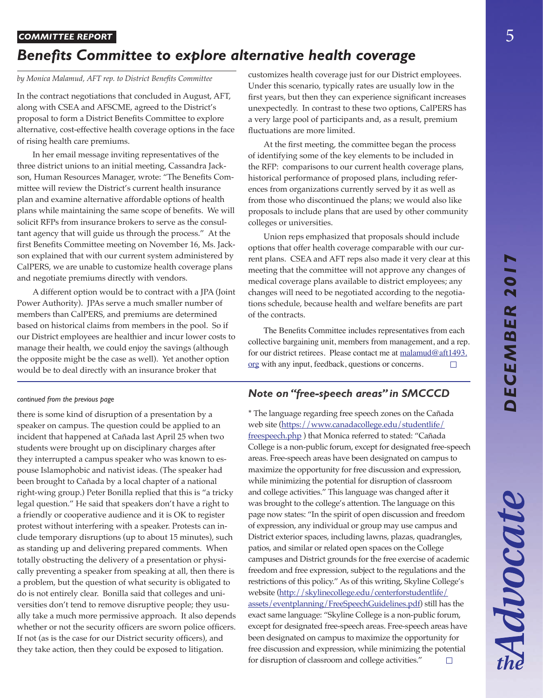Advocate

#### *COMMITTEE REPORT*

## *Benefits Committee to explore alternative health coverage*

#### *by Monica Malamud, AFT rep. to District Benefits Committee*

In the contract negotiations that concluded in August, AFT, along with CSEA and AFSCME, agreed to the District's proposal to form a District Benefits Committee to explore alternative, cost-effective health coverage options in the face of rising health care premiums.

In her email message inviting representatives of the three district unions to an initial meeting, Cassandra Jackson, Human Resources Manager, wrote: "The Benefits Committee will review the District's current health insurance plan and examine alternative affordable options of health plans while maintaining the same scope of benefits. We will solicit RFPs from insurance brokers to serve as the consultant agency that will guide us through the process." At the first Benefits Committee meeting on November 16, Ms. Jackson explained that with our current system administered by CalPERS, we are unable to customize health coverage plans and negotiate premiums directly with vendors.

A different option would be to contract with a JPA (Joint Power Authority). JPAs serve a much smaller number of members than CalPERS, and premiums are determined based on historical claims from members in the pool. So if our District employees are healthier and incur lower costs to manage their health, we could enjoy the savings (although the opposite might be the case as well). Yet another option would be to deal directly with an insurance broker that

#### *continued from the previous page*

there is some kind of disruption of a presentation by a speaker on campus. The question could be applied to an incident that happened at Cañada last April 25 when two students were brought up on disciplinary charges after they interrupted a campus speaker who was known to espouse Islamophobic and nativist ideas. (The speaker had been brought to Cañada by a local chapter of a national right-wing group.) Peter Bonilla replied that this is "a tricky legal question." He said that speakers don't have a right to a friendly or cooperative audience and it is OK to register protest without interfering with a speaker. Protests can include temporary disruptions (up to about 15 minutes), such as standing up and delivering prepared comments. When totally obstructing the delivery of a presentation or physically preventing a speaker from speaking at all, then there is a problem, but the question of what security is obligated to do is not entirely clear. Bonilla said that colleges and universities don't tend to remove disruptive people; they usually take a much more permissive approach. It also depends whether or not the security officers are sworn police officers. If not (as is the case for our District security officers), and they take action, then they could be exposed to litigation.

customizes health coverage just for our District employees. Under this scenario, typically rates are usually low in the first years, but then they can experience significant increases unexpectedly. In contrast to these two options, CalPERS has a very large pool of participants and, as a result, premium fluctuations are more limited.

At the first meeting, the committee began the process of identifying some of the key elements to be included in the RFP: comparisons to our current health coverage plans, historical performance of proposed plans, including references from organizations currently served by it as well as from those who discontinued the plans; we would also like proposals to include plans that are used by other community colleges or universities.

Union reps emphasized that proposals should include options that offer health coverage comparable with our current plans. CSEA and AFT reps also made it very clear at this meeting that the committee will not approve any changes of medical coverage plans available to district employees; any changes will need to be negotiated according to the negotiations schedule, because health and welfare benefits are part of the contracts.

 The Benefits Committee includes representatives from each collective bargaining unit, members from management, and a rep. for our district retirees. Please contact me at malamud@aft1493. org with any input, feedback, questions or concerns.  $\Box$ 

## *Note on "free-speech areas" in SMCCCD*

**\*** The language regarding free speech zones on the Cañada web site [\(https://www.canadacollege.edu/studentlife/](https://www.canadacollege.edu/studentlife/freespeech.php) [freespeech.php](https://www.canadacollege.edu/studentlife/freespeech.php) ) that Monica referred to stated: "Cañada College is a non-public forum, except for designated free-speech areas. Free-speech areas have been designated on campus to maximize the opportunity for free discussion and expression, while minimizing the potential for disruption of classroom and college activities." This language was changed after it was brought to the college's attention. The language on this page now states: "In the spirit of open discussion and freedom of expression, any individual or group may use campus and District exterior spaces, including lawns, plazas, quadrangles, patios, and similar or related open spaces on the College campuses and District grounds for the free exercise of academic freedom and free expression, subject to the regulations and the restrictions of this policy." As of this writing, Skyline College's website [\(http://skylinecollege.edu/centerforstudentlife/](http://skylinecollege.edu/centerforstudentlife/assets/eventplanning/FreeSpeechGuidelines.pdf) [assets/eventplanning/FreeSpeechGuidelines.pdf](http://skylinecollege.edu/centerforstudentlife/assets/eventplanning/FreeSpeechGuidelines.pdf)) still has the exact same language: "Skyline College is a non-public forum, except for designated free-speech areas. Free-speech areas have been designated on campus to maximize the opportunity for free discussion and expression, while minimizing the potential for disruption of classroom and college activities."  $\Box$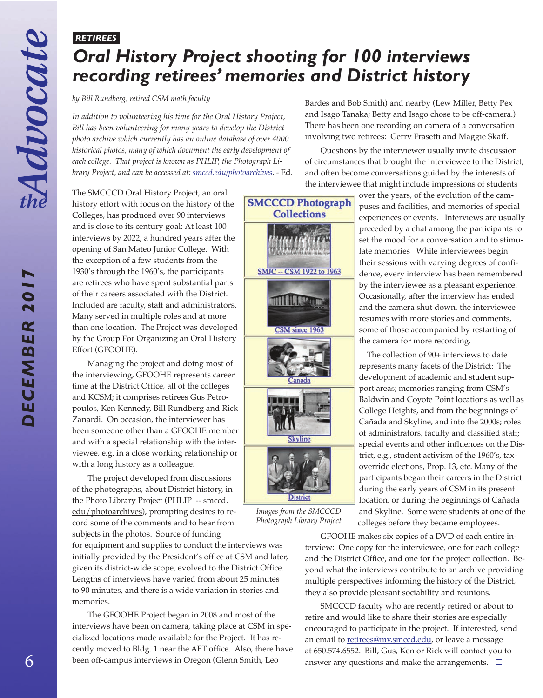*DECEMBER 2017*

DECEMBER 201

# *RETIREES Oral History Project shooting for 100 interviews recording retirees' memories and District history*

*by Bill Rundberg, retired CSM math faculty*

*In addition to volunteering his time for the Oral History Project, Bill has been volunteering for many years to develop the District photo archive which currently has an online database of over 4000 historical photos, many of which document the early development of each college. That project is known as PHLIP, the Photograph Library Project, and can be accessed at[: smccd.edu/photoarchives](http://smccd.edu/photoarchives)*. - Ed. Bardes and Bob Smith) and nearby (Lew Miller, Betty Pex and Isago Tanaka; Betty and Isago chose to be off-camera.) There has been one recording on camera of a conversation involving two retirees: Gerry Frasetti and Maggie Skaff.

Questions by the interviewer usually invite discussion of circumstances that brought the interviewee to the District, and often become conversations guided by the interests of the interviewee that might include impressions of students

The SMCCCD Oral History Project, an oral history effort with focus on the history of the Colleges, has produced over 90 interviews and is close to its century goal: At least 100 interviews by 2022, a hundred years after the opening of San Mateo Junior College. With the exception of a few students from the 1930's through the 1960's, the participants are retirees who have spent substantial parts of their careers associated with the District. Included are faculty, staff and administrators. Many served in multiple roles and at more than one location. The Project was developed by the Group For Organizing an Oral History Effort (GFOOHE).

Managing the project and doing most of the interviewing, GFOOHE represents career time at the District Office, all of the colleges and KCSM; it comprises retirees Gus Petropoulos, Ken Kennedy, Bill Rundberg and Rick Zanardi. On occasion, the interviewer has been someone other than a GFOOHE member and with a special relationship with the interviewee, e.g. in a close working relationship or with a long history as a colleague.

The project developed from discussions of the photographs, about District history, in the Photo Library Project (PHLIP -- smccd. edu/photoarchives), prompting desires to record some of the comments and to hear from subjects in the photos. Source of funding

for equipment and supplies to conduct the interviews was initially provided by the President's office at CSM and later, given its district-wide scope, evolved to the District Office. Lengths of interviews have varied from about 25 minutes to 90 minutes, and there is a wide variation in stories and memories.

The GFOOHE Project began in 2008 and most of the interviews have been on camera, taking place at CSM in specialized locations made available for the Project. It has recently moved to Bldg. 1 near the AFT office. Also, there have been off-campus interviews in Oregon (Glenn Smith, Leo



*Images from the SMCCCD Photograph Library Project*

GFOOHE makes six copies of a DVD of each entire interview: One copy for the interviewee, one for each college and the District Office, and one for the project collection. Beyond what the interviews contribute to an archive providing multiple perspectives informing the history of the District, they also provide pleasant sociability and reunions.

SMCCCD faculty who are recently retired or about to retire and would like to share their stories are especially encouraged to participate in the project. If interested, send an email to **retirees@my.smccd.edu**, or leave a message at 650.574.6552. Bill, Gus, Ken or Rick will contact you to answer any questions and make the arrangements.  $\Box$ 

over the years, of the evolution of the campuses and facilities, and memories of special experiences or events. Interviews are usually preceded by a chat among the participants to set the mood for a conversation and to stimulate memories While interviewees begin their sessions with varying degrees of confidence, every interview has been remembered by the interviewee as a pleasant experience. Occasionally, after the interview has ended and the camera shut down, the interviewee resumes with more stories and comments, some of those accompanied by restarting of the camera for more recording.

The collection of 90+ interviews to date represents many facets of the District: The development of academic and student support areas; memories ranging from CSM's Baldwin and Coyote Point locations as well as College Heights, and from the beginnings of Cañada and Skyline, and into the 2000s; roles of administrators, faculty and classified staff; special events and other influences on the District, e.g., student activism of the 1960's, taxoverride elections, Prop. 13, etc. Many of the participants began their careers in the District during the early years of CSM in its present location, or during the beginnings of Cañada and Skyline. Some were students at one of the colleges before they became employees.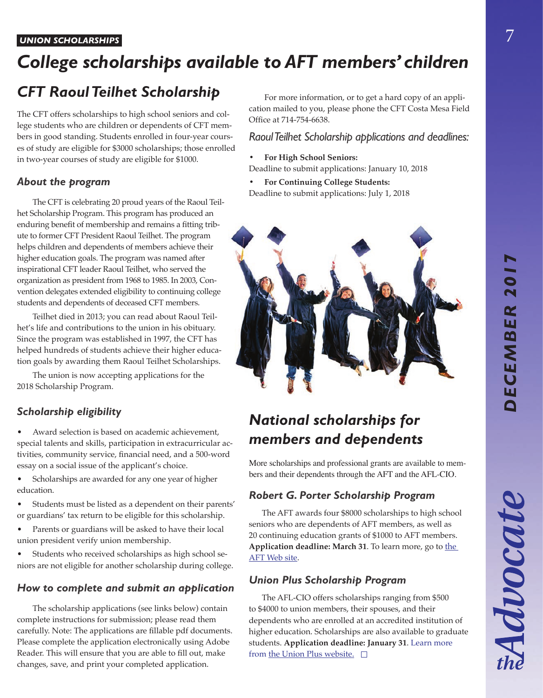# *DECEMBER 2017* DECEMBER 201

Advocate

#### *UNION SCHOLARSHIPS*

# *College scholarships available to AFT members' children*

# *CFT Raoul Teilhet Scholarship*

The CFT offers scholarships to high school seniors and college students who are children or dependents of CFT members in good standing. Students enrolled in four-year courses of study are eligible for \$3000 scholarships; those enrolled in two-year courses of study are eligible for \$1000.

## *About the program*

The CFT is celebrating 20 proud years of the Raoul Teilhet Scholarship Program. This program has produced an enduring benefit of membership and remains a fitting tribute to former CFT President Raoul Teilhet. The program helps children and dependents of members achieve their higher education goals. The program was named after inspirational CFT leader Raoul Teilhet, who served the organization as president from 1968 to 1985. In 2003, Convention delegates extended eligibility to continuing college students and dependents of deceased CFT members.

Teilhet died in 2013; you can read about Raoul Teilhet's life and contributions to the union in his obituary. Since the program was established in 1997, the CFT has helped hundreds of students achieve their higher education goals by awarding them Raoul Teilhet Scholarships.

The union is now accepting applications for the 2018 Scholarship Program.

## *Scholarship eligibility*

• Award selection is based on academic achievement, special talents and skills, participation in extracurricular activities, community service, financial need, and a 500-word essay on a social issue of the applicant's choice.

- Scholarships are awarded for any one year of higher education.
- Students must be listed as a dependent on their parents' or guardians' tax return to be eligible for this scholarship.
- Parents or guardians will be asked to have their local union president verify union membership.
- Students who received scholarships as high school seniors are not eligible for another scholarship during college.

## *How to complete and submit an application*

The scholarship applications (see links below) contain complete instructions for submission; please read them carefully. Note: The applications are fillable pdf documents. Please complete the application electronically using Adobe Reader. This will ensure that you are able to fill out, make changes, save, and print your completed application.

For more information, or to get a hard copy of an application mailed to you, please phone the CFT Costa Mesa Field Office at 714-754-6638.

## *Raoul Teilhet Scholarship applications and deadlines:*

**• For High School Seniors:**

Deadline to submit applications: January 10, 2018

**• For Continuing College Students:**

Deadline to submit applications: July 1, 2018



# *National scholarships for members and dependents*

More scholarships and professional grants are available to members and their dependents through the AFT and the AFL-CIO.

## *Robert G. Porter Scholarship Program*

The AFT awards four \$8000 scholarships to high school seniors who are dependents of AFT members, as well as 20 continuing education grants of \$1000 to AFT members. Application deadline: March 31. To learn more, go to the [AFT Web site.](https://www.aft.org/about/member-benefits/scholarships/eligibility)

## *Union Plus Scholarship Program*

The AFL-CIO offers scholarships ranging from \$500 to \$4000 to union members, their spouses, and their dependents who are enrolled at an accredited institution of higher education. Scholarships are also available to graduate students. **Application deadline: January 31**. Learn more from [the Union Plus website.](https://www.unionplus.org/benefits/money/union-plus-scholarships)  $\square$